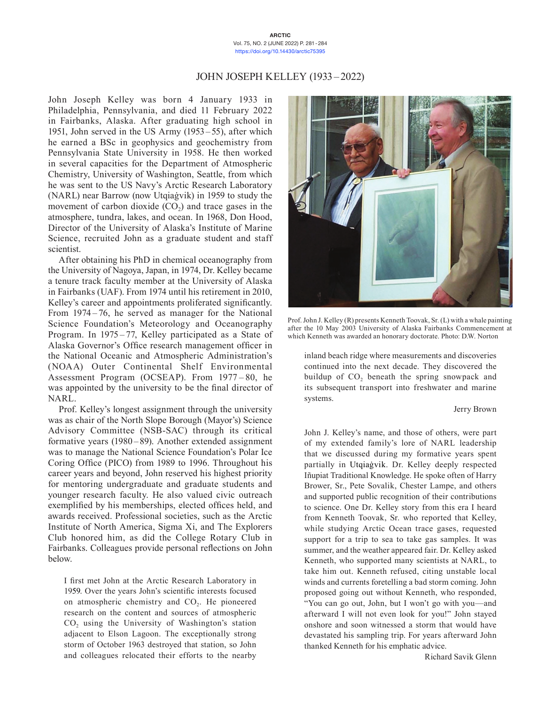#### **ARCTIC** Vol. 75, NO. 2 (JUNE 2022) P. 281-284 <https://doi.org/10.14430/arctic75395>

# JOHN JOSEPH KELLEY (1933 –2022)

John Joseph Kelley was born 4 January 1933 in Philadelphia, Pennsylvania, and died 11 February 2022 in Fairbanks, Alaska. After graduating high school in 1951, John served in the US Army (1953 – 55), after which he earned a BSc in geophysics and geochemistry from Pennsylvania State University in 1958. He then worked in several capacities for the Department of Atmospheric Chemistry, University of Washington, Seattle, from which he was sent to the US Navy's Arctic Research Laboratory (NARL) near Barrow (now Utqiaġvik) in 1959 to study the movement of carbon dioxide  $(CO<sub>2</sub>)$  and trace gases in the atmosphere, tundra, lakes, and ocean. In 1968, Don Hood, Director of the University of Alaska's Institute of Marine Science, recruited John as a graduate student and staff scientist.

After obtaining his PhD in chemical oceanography from the University of Nagoya, Japan, in 1974, Dr. Kelley became a tenure track faculty member at the University of Alaska in Fairbanks (UAF). From 1974 until his retirement in 2010, Kelley's career and appointments proliferated significantly. From 1974-76, he served as manager for the National Science Foundation's Meteorology and Oceanography Program. In 1975–77, Kelley participated as a State of Alaska Governor's Office research management officer in the National Oceanic and Atmospheric Administration's (NOAA) Outer Continental Shelf Environmental Assessment Program (OCSEAP). From 1977 – 80, he was appointed by the university to be the final director of NARL.

Prof. Kelley's longest assignment through the university was as chair of the North Slope Borough (Mayor's) Science Advisory Committee (NSB-SAC) through its critical formative years (1980–89). Another extended assignment was to manage the National Science Foundation's Polar Ice Coring Office (PICO) from 1989 to 1996. Throughout his career years and beyond, John reserved his highest priority for mentoring undergraduate and graduate students and younger research faculty. He also valued civic outreach exemplified by his memberships, elected offices held, and awards received. Professional societies, such as the Arctic Institute of North America, Sigma Xi, and The Explorers Club honored him, as did the College Rotary Club in Fairbanks. Colleagues provide personal reflections on John below.

I first met John at the Arctic Research Laboratory in 1959. Over the years John's scientific interests focused on atmospheric chemistry and  $CO<sub>2</sub>$ . He pioneered research on the content and sources of atmospheric  $CO<sub>2</sub>$  using the University of Washington's station adjacent to Elson Lagoon. The exceptionally strong storm of October 1963 destroyed that station, so John and colleagues relocated their efforts to the nearby



Prof. John J. Kelley (R) presents Kenneth Toovak, Sr. (L) with a whale painting after the 10 May 2003 University of Alaska Fairbanks Commencement at which Kenneth was awarded an honorary doctorate. Photo: D.W. Norton

inland beach ridge where measurements and discoveries continued into the next decade. They discovered the buildup of  $CO<sub>2</sub>$  beneath the spring snowpack and its subsequent transport into freshwater and marine systems.

#### Jerry Brown

John J. Kelley's name, and those of others, were part of my extended family's lore of NARL leadership that we discussed during my formative years spent partially in Utqiaġvik. Dr. Kelley deeply respected Iñupiat Traditional Knowledge. He spoke often of Harry Brower, Sr., Pete Sovalik, Chester Lampe, and others and supported public recognition of their contributions to science. One Dr. Kelley story from this era I heard from Kenneth Toovak, Sr. who reported that Kelley, while studying Arctic Ocean trace gases, requested support for a trip to sea to take gas samples. It was summer, and the weather appeared fair. Dr. Kelley asked Kenneth, who supported many scientists at NARL, to take him out. Kenneth refused, citing unstable local winds and currents foretelling a bad storm coming. John proposed going out without Kenneth, who responded, "You can go out, John, but I won't go with you—and afterward I will not even look for you!" John stayed onshore and soon witnessed a storm that would have devastated his sampling trip. For years afterward John thanked Kenneth for his emphatic advice.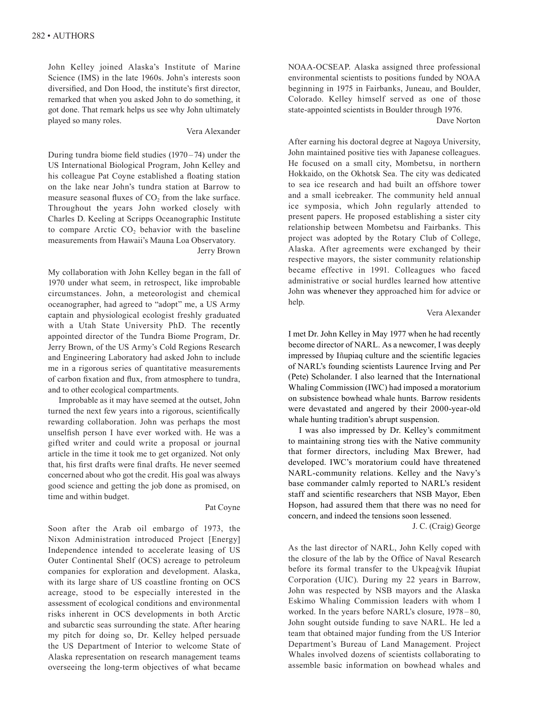John Kelley joined Alaska's Institute of Marine Science (IMS) in the late 1960s. John's interests soon diversified, and Don Hood, the institute's first director, remarked that when you asked John to do something, it got done. That remark helps us see why John ultimately played so many roles.

## Vera Alexander

During tundra biome field studies  $(1970 - 74)$  under the US International Biological Program, John Kelley and his colleague Pat Coyne established a floating station on the lake near John's tundra station at Barrow to measure seasonal fluxes of CO<sub>2</sub> from the lake surface. Throughout the years John worked closely with Charles D. Keeling at Scripps Oceanographic Institute to compare Arctic  $CO<sub>2</sub>$  behavior with the baseline measurements from Hawaii's Mauna Loa Observatory. Jerry Brown

My collaboration with John Kelley began in the fall of 1970 under what seem, in retrospect, like improbable circumstances. John, a meteorologist and chemical oceanographer, had agreed to "adopt" me, a US Army captain and physiological ecologist freshly graduated with a Utah State University PhD. The recently appointed director of the Tundra Biome Program, Dr. Jerry Brown, of the US Army's Cold Regions Research and Engineering Laboratory had asked John to include me in a rigorous series of quantitative measurements of carbon fixation and flux, from atmosphere to tundra, and to other ecological compartments.

Improbable as it may have seemed at the outset, John turned the next few years into a rigorous, scientifically rewarding collaboration. John was perhaps the most unselfish person I have ever worked with. He was a gifted writer and could write a proposal or journal article in the time it took me to get organized. Not only that, his first drafts were final drafts. He never seemed concerned about who got the credit. His goal was always good science and getting the job done as promised, on time and within budget.

#### Pat Coyne

Soon after the Arab oil embargo of 1973, the Nixon Administration introduced Project [Energy] Independence intended to accelerate leasing of US Outer Continental Shelf (OCS) acreage to petroleum companies for exploration and development. Alaska, with its large share of US coastline fronting on OCS acreage, stood to be especially interested in the assessment of ecological conditions and environmental risks inherent in OCS developments in both Arctic and subarctic seas surrounding the state. After hearing my pitch for doing so, Dr. Kelley helped persuade the US Department of Interior to welcome State of Alaska representation on research management teams overseeing the long-term objectives of what became NOAA-OCSEAP. Alaska assigned three professional environmental scientists to positions funded by NOAA beginning in 1975 in Fairbanks, Juneau, and Boulder, Colorado. Kelley himself served as one of those state-appointed scientists in Boulder through 1976.

Dave Norton

After earning his doctoral degree at Nagoya University, John maintained positive ties with Japanese colleagues. He focused on a small city, Mombetsu, in northern Hokkaido, on the Okhotsk Sea. The city was dedicated to sea ice research and had built an offshore tower and a small icebreaker. The community held annual ice symposia, which John regularly attended to present papers. He proposed establishing a sister city relationship between Mombetsu and Fairbanks. This project was adopted by the Rotary Club of College, Alaska. After agreements were exchanged by their respective mayors, the sister community relationship became effective in 1991. Colleagues who faced administrative or social hurdles learned how attentive John was whenever they approached him for advice or help.

Vera Alexander

I met Dr. John Kelley in May 1977 when he had recently become director of NARL. As a newcomer, I was deeply impressed by Iñupiaq culture and the scientific legacies of NARL's founding scientists Laurence Irving and Per (Pete) Scholander. I also learned that the International Whaling Commission (IWC) had imposed a moratorium on subsistence bowhead whale hunts. Barrow residents were devastated and angered by their 2000-year-old whale hunting tradition's abrupt suspension.

I was also impressed by Dr. Kelley's commitment to maintaining strong ties with the Native community that former directors, including Max Brewer, had developed. IWC's moratorium could have threatened NARL-community relations. Kelley and the Navy's base commander calmly reported to NARL's resident staff and scientific researchers that NSB Mayor, Eben Hopson, had assured them that there was no need for concern, and indeed the tensions soon lessened.

J. C. (Craig) George

As the last director of NARL, John Kelly coped with the closure of the lab by the Office of Naval Research before its formal transfer to the Ukpeaġvik Iñupiat Corporation (UIC). During my 22 years in Barrow, John was respected by NSB mayors and the Alaska Eskimo Whaling Commission leaders with whom I worked. In the years before NARL's closure, 1978-80, John sought outside funding to save NARL. He led a team that obtained major funding from the US Interior Department's Bureau of Land Management. Project Whales involved dozens of scientists collaborating to assemble basic information on bowhead whales and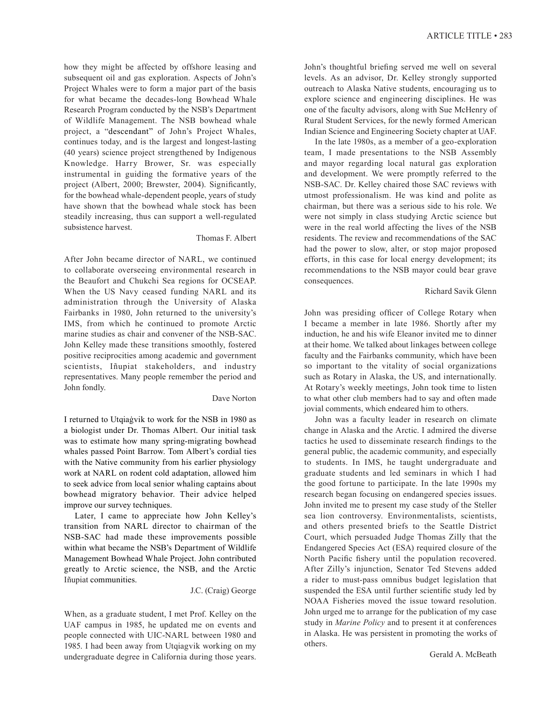how they might be affected by offshore leasing and subsequent oil and gas exploration. Aspects of John's Project Whales were to form a major part of the basis for what became the decades-long Bowhead Whale Research Program conducted by the NSB's Department of Wildlife Management. The NSB bowhead whale project, a "descendant" of John's Project Whales, continues today, and is the largest and longest-lasting (40 years) science project strengthened by Indigenous Knowledge. Harry Brower, Sr. was especially instrumental in guiding the formative years of the project (Albert, 2000; Brewster, 2004). Significantly, for the bowhead whale-dependent people, years of study have shown that the bowhead whale stock has been steadily increasing, thus can support a well-regulated subsistence harvest.

### Thomas F. Albert

After John became director of NARL, we continued to collaborate overseeing environmental research in the Beaufort and Chukchi Sea regions for OCSEAP. When the US Navy ceased funding NARL and its administration through the University of Alaska Fairbanks in 1980, John returned to the university's IMS, from which he continued to promote Arctic marine studies as chair and convener of the NSB-SAC. John Kelley made these transitions smoothly, fostered positive reciprocities among academic and government scientists, Iñupiat stakeholders, and industry representatives. Many people remember the period and John fondly.

### Dave Norton

I returned to Utqiaġvik to work for the NSB in 1980 as a biologist under Dr. Thomas Albert. Our initial task was to estimate how many spring-migrating bowhead whales passed Point Barrow. Tom Albert's cordial ties with the Native community from his earlier physiology work at NARL on rodent cold adaptation, allowed him to seek advice from local senior whaling captains about bowhead migratory behavior. Their advice helped improve our survey techniques.

Later, I came to appreciate how John Kelley's transition from NARL director to chairman of the NSB-SAC had made these improvements possible within what became the NSB's Department of Wildlife Management Bowhead Whale Project. John contributed greatly to Arctic science, the NSB, and the Arctic Iñupiat communities.

## J.C. (Craig) George

When, as a graduate student, I met Prof. Kelley on the UAF campus in 1985, he updated me on events and people connected with UIC-NARL between 1980 and 1985. I had been away from Utqiagvik working on my undergraduate degree in California during those years.

John's thoughtful briefing served me well on several levels. As an advisor, Dr. Kelley strongly supported outreach to Alaska Native students, encouraging us to explore science and engineering disciplines. He was one of the faculty advisors, along with Sue McHenry of Rural Student Services, for the newly formed American Indian Science and Engineering Society chapter at UAF.

In the late 1980s, as a member of a geo-exploration team, I made presentations to the NSB Assembly and mayor regarding local natural gas exploration and development. We were promptly referred to the NSB-SAC. Dr. Kelley chaired those SAC reviews with utmost professionalism. He was kind and polite as chairman, but there was a serious side to his role. We were not simply in class studying Arctic science but were in the real world affecting the lives of the NSB residents. The review and recommendations of the SAC had the power to slow, alter, or stop major proposed efforts, in this case for local energy development; its recommendations to the NSB mayor could bear grave consequences.

## Richard Savik Glenn

John was presiding officer of College Rotary when I became a member in late 1986. Shortly after my induction, he and his wife Eleanor invited me to dinner at their home. We talked about linkages between college faculty and the Fairbanks community, which have been so important to the vitality of social organizations such as Rotary in Alaska, the US, and internationally. At Rotary's weekly meetings, John took time to listen to what other club members had to say and often made jovial comments, which endeared him to others.

John was a faculty leader in research on climate change in Alaska and the Arctic. I admired the diverse tactics he used to disseminate research findings to the general public, the academic community, and especially to students. In IMS, he taught undergraduate and graduate students and led seminars in which I had the good fortune to participate. In the late 1990s my research began focusing on endangered species issues. John invited me to present my case study of the Steller sea lion controversy. Environmentalists, scientists, and others presented briefs to the Seattle District Court, which persuaded Judge Thomas Zilly that the Endangered Species Act (ESA) required closure of the North Pacific fishery until the population recovered. After Zilly's injunction, Senator Ted Stevens added a rider to must-pass omnibus budget legislation that suspended the ESA until further scientific study led by NOAA Fisheries moved the issue toward resolution. John urged me to arrange for the publication of my case study in *Marine Policy* and to present it at conferences in Alaska. He was persistent in promoting the works of others.